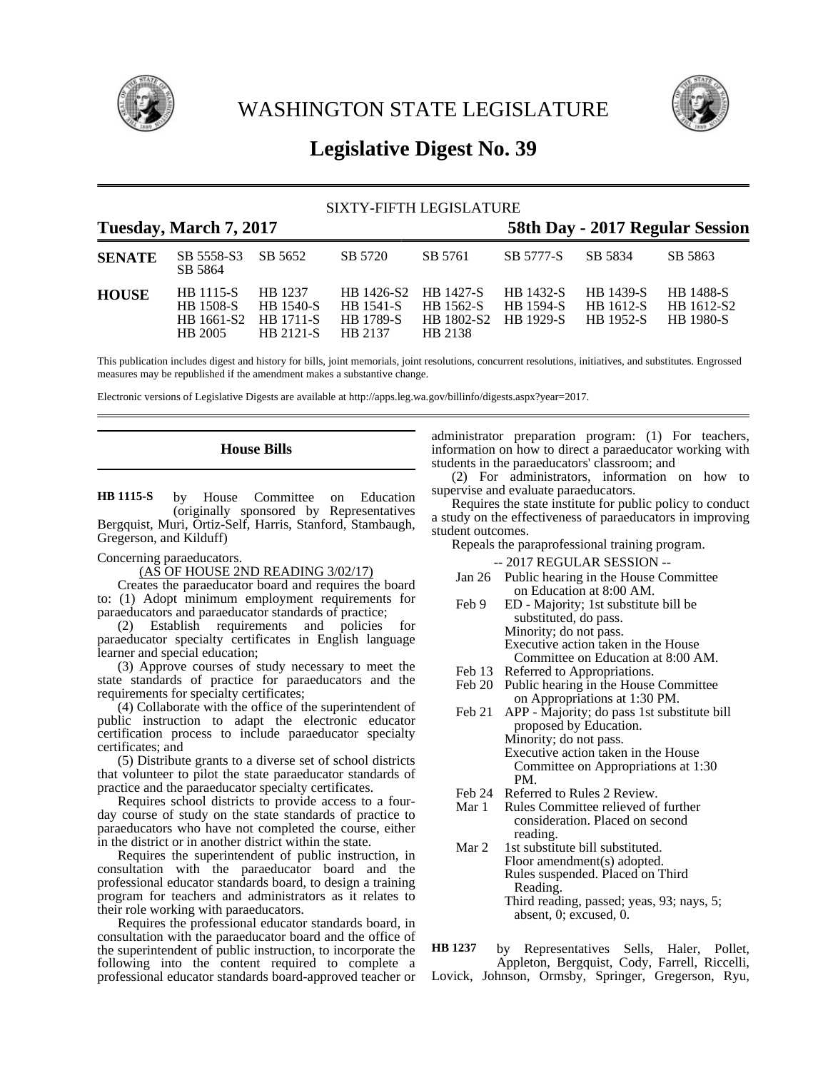

WASHINGTON STATE LEGISLATURE



# **Legislative Digest No. 39**

# SIXTY-FIFTH LEGISLATURE

# **Tuesday, March 7, 2017 58th Day - 2017 Regular Session SENATE** SB 5558-S3 SB 5652 SB 5720 SB 5761 SB 5777-S SB 5834 SB 5863 SB 5864 **HOUSE** HB 1115-S HB 1237 HB 1426-S2 HB 1427-S HB 1432-S HB 1439-S HB 1488-S HB 1508-S HB 1540-S HB 1541-S HB 1562-S HB 1594-S HB 1612-S HB 1612-S2 HB 1612-S2 HB 1711-S HB 1789-S HB 1802-S2 HB 1929-S HB 1952-S HB 1980-S HB 1661-S2 HB 1711-S HB 1789-S HB 1802-S2 HB 1929-S HB 1952-S HB 1980-S HB 2121-S

This publication includes digest and history for bills, joint memorials, joint resolutions, concurrent resolutions, initiatives, and substitutes. Engrossed measures may be republished if the amendment makes a substantive change.

Electronic versions of Legislative Digests are available at http://apps.leg.wa.gov/billinfo/digests.aspx?year=2017.

# **House Bills**

by House Committee on Education (originally sponsored by Representatives Bergquist, Muri, Ortiz-Self, Harris, Stanford, Stambaugh, Gregerson, and Kilduff) **HB 1115-S**

Concerning paraeducators.

(AS OF HOUSE 2ND READING 3/02/17)

Creates the paraeducator board and requires the board to: (1) Adopt minimum employment requirements for paraeducators and paraeducator standards of practice;

(2) Establish requirements and policies for paraeducator specialty certificates in English language learner and special education;

(3) Approve courses of study necessary to meet the state standards of practice for paraeducators and the requirements for specialty certificates;

(4) Collaborate with the office of the superintendent of public instruction to adapt the electronic educator certification process to include paraeducator specialty certificates; and

(5) Distribute grants to a diverse set of school districts that volunteer to pilot the state paraeducator standards of practice and the paraeducator specialty certificates.

Requires school districts to provide access to a fourday course of study on the state standards of practice to paraeducators who have not completed the course, either in the district or in another district within the state.

Requires the superintendent of public instruction, in consultation with the paraeducator board and the professional educator standards board, to design a training program for teachers and administrators as it relates to their role working with paraeducators.

Requires the professional educator standards board, in consultation with the paraeducator board and the office of the superintendent of public instruction, to incorporate the following into the content required to complete a professional educator standards board-approved teacher or administrator preparation program: (1) For teachers, information on how to direct a paraeducator working with students in the paraeducators' classroom; and

(2) For administrators, information on how to supervise and evaluate paraeducators.

Requires the state institute for public policy to conduct a study on the effectiveness of paraeducators in improving student outcomes.

Repeals the paraprofessional training program.

-- 2017 REGULAR SESSION --

- Jan 26 Public hearing in the House Committee on Education at 8:00 AM.
- Feb 9 ED Majority; 1st substitute bill be substituted, do pass. Minority; do not pass. Executive action taken in the House Committee on Education at 8:00 AM.
- Feb 13 Referred to Appropriations.
- Feb 20 Public hearing in the House Committee on Appropriations at 1:30 PM.
- Feb 21 APP Majority; do pass 1st substitute bill proposed by Education. Minority; do not pass. Executive action taken in the House Committee on Appropriations at 1:30 PM.
- Feb 24 Referred to Rules 2 Review.
- Mar 1 Rules Committee relieved of further consideration. Placed on second reading.
- Mar 2 1st substitute bill substituted. Floor amendment(s) adopted. Rules suspended. Placed on Third Reading. Third reading, passed; yeas, 93; nays, 5; absent, 0; excused, 0.

by Representatives Sells, Haler, Pollet, Appleton, Bergquist, Cody, Farrell, Riccelli, **HB 1237**

Lovick, Johnson, Ormsby, Springer, Gregerson, Ryu,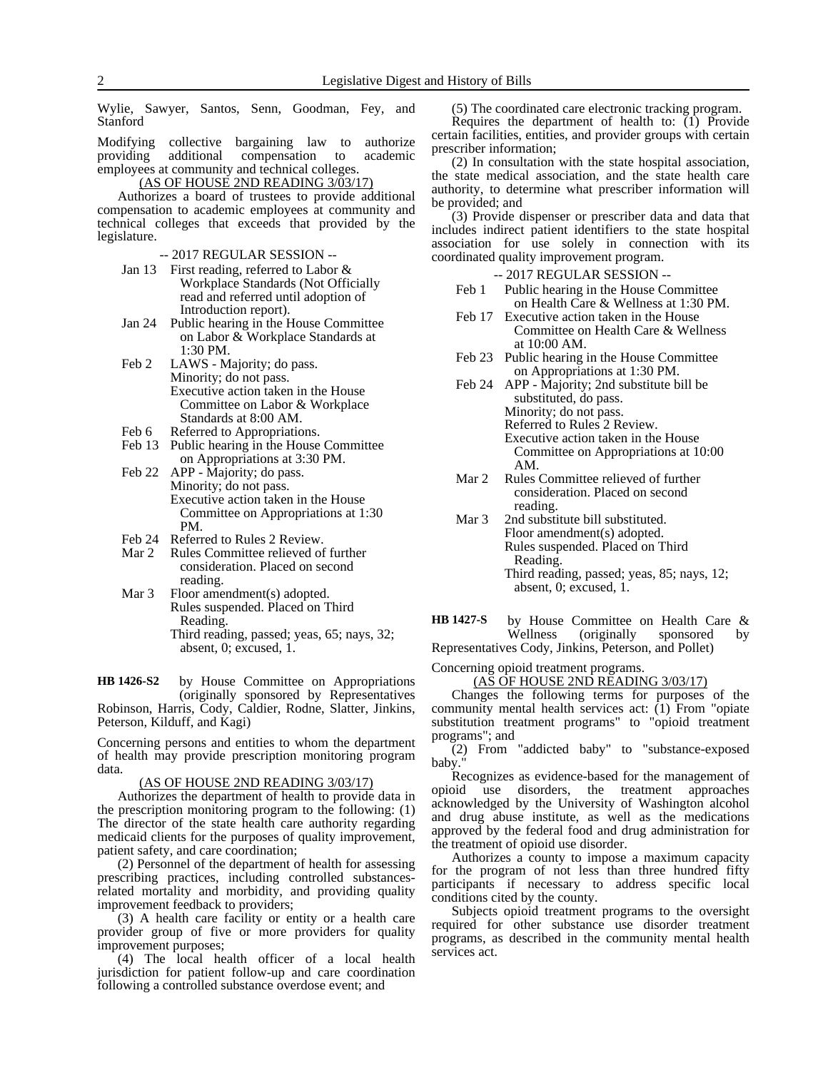Wylie, Sawyer, Santos, Senn, Goodman, Fey, and Stanford

Modifying collective bargaining law to authorize<br>providing additional compensation to academic additional compensation to academic employees at community and technical colleges.

# (AS OF HOUSE 2ND READING 3/03/17)

Authorizes a board of trustees to provide additional compensation to academic employees at community and technical colleges that exceeds that provided by the legislature.

- -- 2017 REGULAR SESSION --
- Jan 13 First reading, referred to Labor & Workplace Standards (Not Officially read and referred until adoption of Introduction report).
- Jan 24 Public hearing in the House Committee on Labor & Workplace Standards at 1:30 PM.
- Feb 2 LAWS Majority; do pass. Minority; do not pass. Executive action taken in the House Committee on Labor & Workplace Standards at 8:00 AM.
- Feb 6 Referred to Appropriations.
- Feb 13 Public hearing in the House Committee on Appropriations at 3:30 PM.
- Feb 22 APP Majority; do pass. Minority; do not pass. Executive action taken in the House Committee on Appropriations at 1:30 PM.
- Feb 24 Referred to Rules 2 Review.
- Mar 2 Rules Committee relieved of further consideration. Placed on second reading.
- Mar 3 Floor amendment(s) adopted. Rules suspended. Placed on Third Reading.
	- Third reading, passed; yeas, 65; nays, 32; absent, 0; excused, 1.

by House Committee on Appropriations (originally sponsored by Representatives Robinson, Harris, Cody, Caldier, Rodne, Slatter, Jinkins, Peterson, Kilduff, and Kagi) **HB 1426-S2**

Concerning persons and entities to whom the department of health may provide prescription monitoring program data.

#### (AS OF HOUSE 2ND READING 3/03/17)

Authorizes the department of health to provide data in the prescription monitoring program to the following: (1) The director of the state health care authority regarding medicaid clients for the purposes of quality improvement, patient safety, and care coordination;

(2) Personnel of the department of health for assessing prescribing practices, including controlled substancesrelated mortality and morbidity, and providing quality improvement feedback to providers;

(3) A health care facility or entity or a health care provider group of five or more providers for quality improvement purposes;

(4) The local health officer of a local health jurisdiction for patient follow-up and care coordination following a controlled substance overdose event; and

(5) The coordinated care electronic tracking program. Requires the department of health to: (1) Provide certain facilities, entities, and provider groups with certain prescriber information;

(2) In consultation with the state hospital association, the state medical association, and the state health care authority, to determine what prescriber information will be provided; and

(3) Provide dispenser or prescriber data and data that includes indirect patient identifiers to the state hospital association for use solely in connection with its coordinated quality improvement program.

-- 2017 REGULAR SESSION --

- Feb 1 Public hearing in the House Committee on Health Care & Wellness at 1:30 PM.
- Feb 17 Executive action taken in the House Committee on Health Care & Wellness at 10:00 AM.
- Feb 23 Public hearing in the House Committee on Appropriations at 1:30 PM.
- Feb 24 APP Majority; 2nd substitute bill be substituted, do pass. Minority; do not pass. Referred to Rules 2 Review. Executive action taken in the House Committee on Appropriations at 10:00 AM.
- Mar 2 Rules Committee relieved of further consideration. Placed on second reading.
- Mar 3 2nd substitute bill substituted. Floor amendment(s) adopted. Rules suspended. Placed on Third Reading. Third reading, passed; yeas, 85; nays, 12; absent, 0; excused, 1.
- by House Committee on Health Care & Wellness (originally sponsored by **HB 1427-S**

Representatives Cody, Jinkins, Peterson, and Pollet)

Concerning opioid treatment programs.

(AS OF HOUSE 2ND READING 3/03/17) Changes the following terms for purposes of the community mental health services act: (1) From "opiate substitution treatment programs" to "opioid treatment programs"; and

(2) From "addicted baby" to "substance-exposed baby.

Recognizes as evidence-based for the management of opioid use disorders, the treatment approaches acknowledged by the University of Washington alcohol and drug abuse institute, as well as the medications approved by the federal food and drug administration for the treatment of opioid use disorder.

Authorizes a county to impose a maximum capacity for the program of not less than three hundred fifty participants if necessary to address specific local conditions cited by the county.

Subjects opioid treatment programs to the oversight required for other substance use disorder treatment programs, as described in the community mental health services act.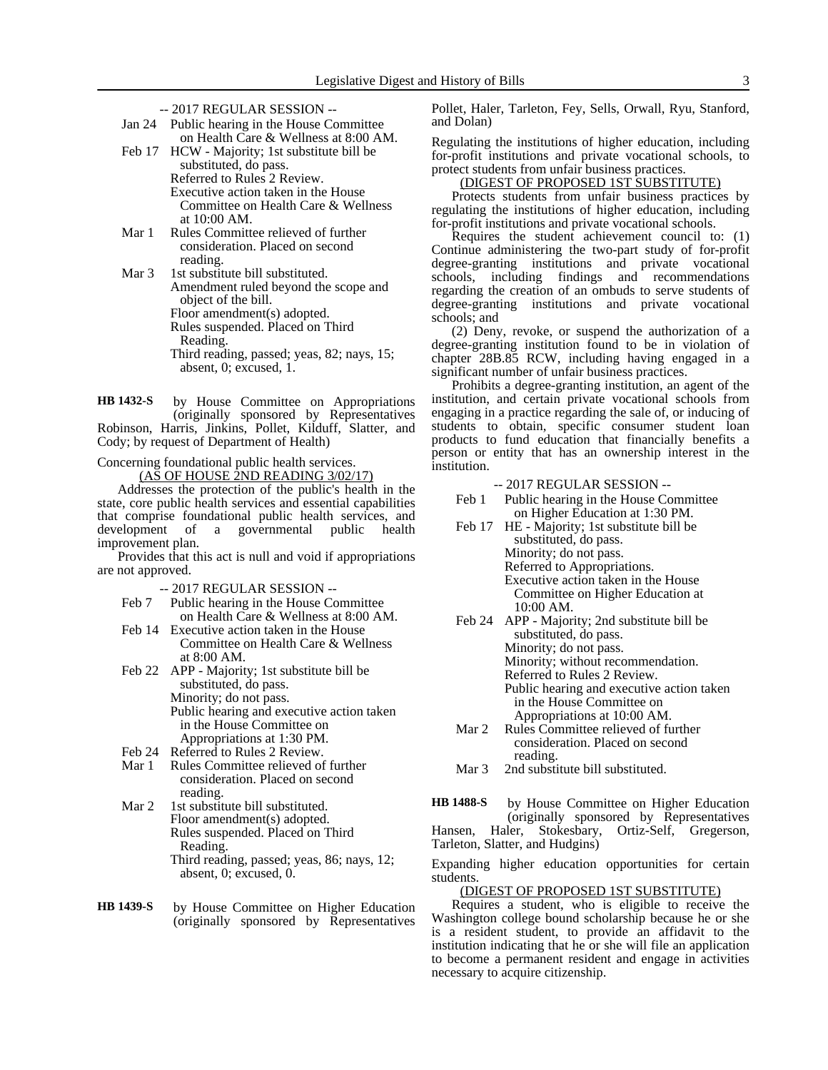- -- 2017 REGULAR SESSION --
- Jan 24 Public hearing in the House Committee on Health Care & Wellness at 8:00 AM.

Feb 17 HCW - Majority; 1st substitute bill be substituted, do pass. Referred to Rules 2 Review. Executive action taken in the House Committee on Health Care & Wellness at 10:00 AM.

Mar 1 Rules Committee relieved of further consideration. Placed on second reading.

Mar 3 1st substitute bill substituted. Amendment ruled beyond the scope and object of the bill. Floor amendment(s) adopted. Rules suspended. Placed on Third Reading. Third reading, passed; yeas, 82; nays, 15; absent, 0; excused, 1.

by House Committee on Appropriations (originally sponsored by Representatives Robinson, Harris, Jinkins, Pollet, Kilduff, Slatter, and Cody; by request of Department of Health) **HB 1432-S**

Concerning foundational public health services. (AS OF HOUSE 2ND READING 3/02/17)

Addresses the protection of the public's health in the state, core public health services and essential capabilities that comprise foundational public health services, and development of a governmental public health improvement plan.

Provides that this act is null and void if appropriations are not approved.

-- 2017 REGULAR SESSION --

- Feb 7 Public hearing in the House Committee on Health Care & Wellness at 8:00 AM.
- Feb 14 Executive action taken in the House Committee on Health Care & Wellness at 8:00 AM.
- Feb 22 APP Majority; 1st substitute bill be substituted, do pass. Minority; do not pass. Public hearing and executive action taken in the House Committee on Appropriations at 1:30 PM.
- Feb 24 Referred to Rules 2 Review.
- Mar 1 Rules Committee relieved of further consideration. Placed on second reading.
- Mar 2 1st substitute bill substituted. Floor amendment(s) adopted. Rules suspended. Placed on Third Reading. Third reading, passed; yeas, 86; nays, 12; absent, 0; excused, 0.
- by House Committee on Higher Education (originally sponsored by Representatives **HB 1439-S**

Pollet, Haler, Tarleton, Fey, Sells, Orwall, Ryu, Stanford, and Dolan)

Regulating the institutions of higher education, including for-profit institutions and private vocational schools, to protect students from unfair business practices.

# (DIGEST OF PROPOSED 1ST SUBSTITUTE)

Protects students from unfair business practices by regulating the institutions of higher education, including for-profit institutions and private vocational schools.

Requires the student achievement council to: (1) Continue administering the two-part study of for-profit degree-granting institutions and private vocational schools, including findings and recommendations regarding the creation of an ombuds to serve students of degree-granting institutions and private vocational schools; and

(2) Deny, revoke, or suspend the authorization of a degree-granting institution found to be in violation of chapter 28B.85 RCW, including having engaged in a significant number of unfair business practices.

Prohibits a degree-granting institution, an agent of the institution, and certain private vocational schools from engaging in a practice regarding the sale of, or inducing of students to obtain, specific consumer student loan products to fund education that financially benefits a person or entity that has an ownership interest in the institution.

- -- 2017 REGULAR SESSION --
- Feb 1 Public hearing in the House Committee on Higher Education at 1:30 PM.
- Feb 17 HE Majority; 1st substitute bill be substituted, do pass. Minority; do not pass. Referred to Appropriations. Executive action taken in the House Committee on Higher Education at 10:00 AM.
- Feb 24 APP Majority; 2nd substitute bill be substituted, do pass. Minority; do not pass. Minority; without recommendation. Referred to Rules 2 Review. Public hearing and executive action taken in the House Committee on Appropriations at 10:00 AM.
- Mar 2 Rules Committee relieved of further consideration. Placed on second reading.
- Mar 3 2nd substitute bill substituted.

by House Committee on Higher Education (originally sponsored by Representatives<br>ler, Stokesbary, Ortiz-Self, Gregerson, Hansen, Haler, Stokesbary, Tarleton, Slatter, and Hudgins) **HB 1488-S**

Expanding higher education opportunities for certain students.

### (DIGEST OF PROPOSED 1ST SUBSTITUTE)

Requires a student, who is eligible to receive the Washington college bound scholarship because he or she is a resident student, to provide an affidavit to the institution indicating that he or she will file an application to become a permanent resident and engage in activities necessary to acquire citizenship.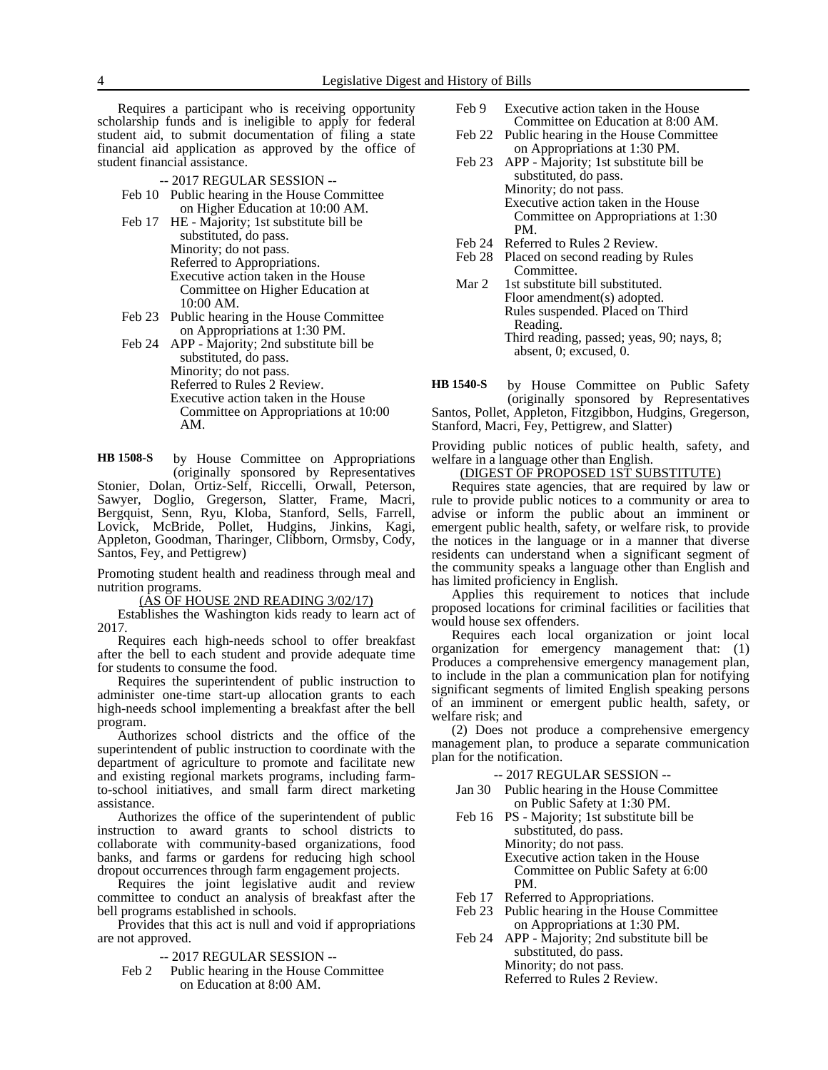Requires a participant who is receiving opportunity scholarship funds and is ineligible to apply for federal student aid, to submit documentation of filing a state financial aid application as approved by the office of student financial assistance.

-- 2017 REGULAR SESSION --

- Feb 10 Public hearing in the House Committee on Higher Education at 10:00 AM.
- Feb 17 HE Majority; 1st substitute bill be substituted, do pass. Minority; do not pass. Referred to Appropriations. Executive action taken in the House Committee on Higher Education at 10:00 AM. Feb 23 Public hearing in the House Committee
- on Appropriations at 1:30 PM.

Feb 24 APP - Majority; 2nd substitute bill be substituted, do pass. Minority; do not pass. Referred to Rules 2 Review. Executive action taken in the House Committee on Appropriations at 10:00

AM.

by House Committee on Appropriations (originally sponsored by Representatives Stonier, Dolan, Ortiz-Self, Riccelli, Orwall, Peterson, Sawyer, Doglio, Gregerson, Slatter, Frame, Macri, Bergquist, Senn, Ryu, Kloba, Stanford, Sells, Farrell, Lovick, McBride, Pollet, Hudgins, Jinkins, Kagi, Appleton, Goodman, Tharinger, Clibborn, Ormsby, Cody, Santos, Fey, and Pettigrew) **HB 1508-S**

Promoting student health and readiness through meal and nutrition programs.

(AS OF HOUSE 2ND READING 3/02/17)

Establishes the Washington kids ready to learn act of 2017.

Requires each high-needs school to offer breakfast after the bell to each student and provide adequate time for students to consume the food.

Requires the superintendent of public instruction to administer one-time start-up allocation grants to each high-needs school implementing a breakfast after the bell program.

Authorizes school districts and the office of the superintendent of public instruction to coordinate with the department of agriculture to promote and facilitate new and existing regional markets programs, including farmto-school initiatives, and small farm direct marketing assistance.

Authorizes the office of the superintendent of public instruction to award grants to school districts to collaborate with community-based organizations, food banks, and farms or gardens for reducing high school dropout occurrences through farm engagement projects.

Requires the joint legislative audit and review committee to conduct an analysis of breakfast after the bell programs established in schools.

Provides that this act is null and void if appropriations are not approved.

- -- 2017 REGULAR SESSION --
- Feb 2 Public hearing in the House Committee on Education at 8:00 AM.
- Feb 9 Executive action taken in the House Committee on Education at 8:00 AM.
- Feb 22 Public hearing in the House Committee on Appropriations at 1:30 PM.
- Feb 23 APP Majority; 1st substitute bill be substituted, do pass. Minority; do not pass. Executive action taken in the House Committee on Appropriations at 1:30 PM.
- Feb 24 Referred to Rules 2 Review.<br>Feb 28 Placed on second reading by
- Placed on second reading by Rules Committee.
- Mar 2 1st substitute bill substituted. Floor amendment(s) adopted. Rules suspended. Placed on Third Reading. Third reading, passed; yeas, 90; nays, 8; absent, 0; excused, 0.

by House Committee on Public Safety (originally sponsored by Representatives Santos, Pollet, Appleton, Fitzgibbon, Hudgins, Gregerson, **HB 1540-S**

Stanford, Macri, Fey, Pettigrew, and Slatter)

Providing public notices of public health, safety, and welfare in a language other than English.

# (DIGEST OF PROPOSED 1ST SUBSTITUTE)

Requires state agencies, that are required by law or rule to provide public notices to a community or area to advise or inform the public about an imminent or emergent public health, safety, or welfare risk, to provide the notices in the language or in a manner that diverse residents can understand when a significant segment of the community speaks a language other than English and has limited proficiency in English.

Applies this requirement to notices that include proposed locations for criminal facilities or facilities that would house sex offenders.

Requires each local organization or joint local organization for emergency management that: (1) Produces a comprehensive emergency management plan, to include in the plan a communication plan for notifying significant segments of limited English speaking persons of an imminent or emergent public health, safety, or welfare risk; and

(2) Does not produce a comprehensive emergency management plan, to produce a separate communication plan for the notification.

- -- 2017 REGULAR SESSION --
- Jan 30 Public hearing in the House Committee on Public Safety at 1:30 PM.
- Feb 16 PS Majority; 1st substitute bill be substituted, do pass. Minority; do not pass. Executive action taken in the House Committee on Public Safety at 6:00 PM.
- Feb 17 Referred to Appropriations.
- Feb 23 Public hearing in the House Committee on Appropriations at 1:30 PM.
- Feb 24 APP Majority; 2nd substitute bill be substituted, do pass. Minority; do not pass. Referred to Rules 2 Review.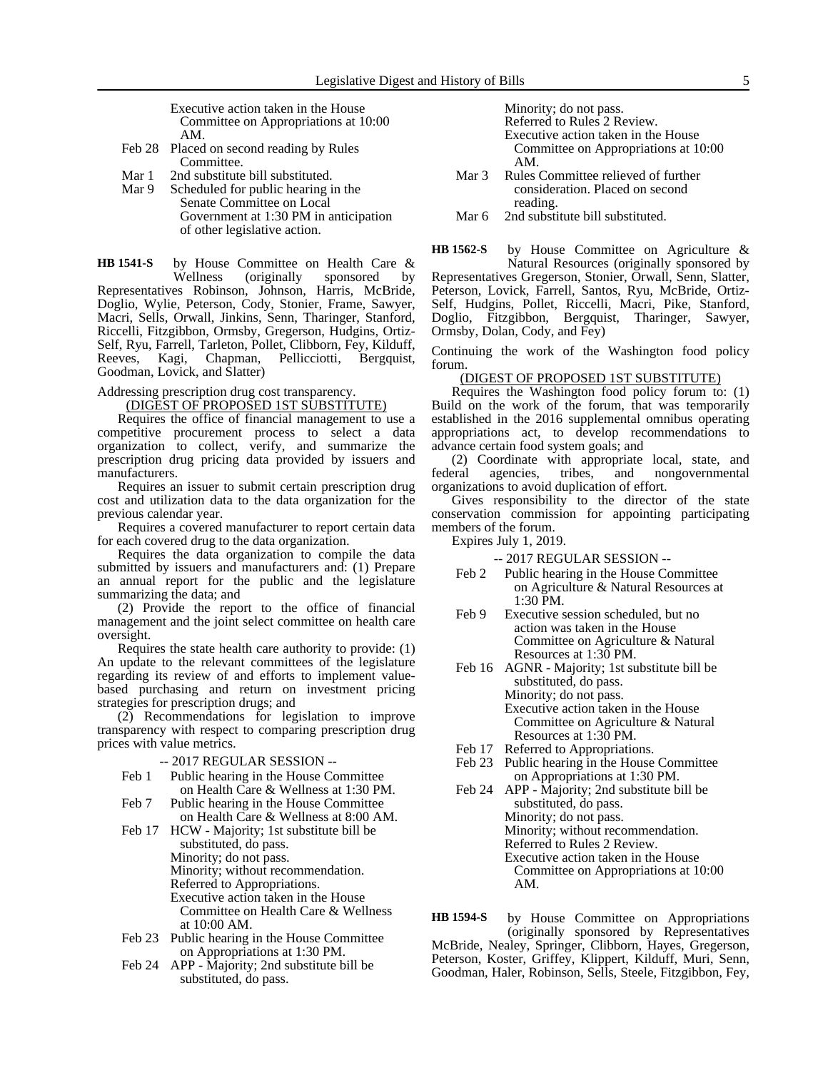Executive action taken in the House Committee on Appropriations at 10:00 AM.

- Feb 28 Placed on second reading by Rules Committee.
- Mar 1 2nd substitute bill substituted.
- Mar 9 Scheduled for public hearing in the Senate Committee on Local Government at 1:30 PM in anticipation of other legislative action.

by House Committee on Health Care & Wellness (originally sponsored by Representatives Robinson, Johnson, Harris, McBride, Doglio, Wylie, Peterson, Cody, Stonier, Frame, Sawyer, Macri, Sells, Orwall, Jinkins, Senn, Tharinger, Stanford, Riccelli, Fitzgibbon, Ormsby, Gregerson, Hudgins, Ortiz-Self, Ryu, Farrell, Tarleton, Pollet, Clibborn, Fey, Kilduff, Reeves, Kagi, Chapman, Pellicciotti, Bergquist, Goodman, Lovick, and Slatter) **HB 1541-S**

Addressing prescription drug cost transparency.

#### (DIGEST OF PROPOSED 1ST SUBSTITUTE)

Requires the office of financial management to use a competitive procurement process to select a data organization to collect, verify, and summarize the prescription drug pricing data provided by issuers and manufacturers.

Requires an issuer to submit certain prescription drug cost and utilization data to the data organization for the previous calendar year.

Requires a covered manufacturer to report certain data for each covered drug to the data organization.

Requires the data organization to compile the data submitted by issuers and manufacturers and: (1) Prepare an annual report for the public and the legislature summarizing the data; and

(2) Provide the report to the office of financial management and the joint select committee on health care oversight.

Requires the state health care authority to provide: (1) An update to the relevant committees of the legislature regarding its review of and efforts to implement valuebased purchasing and return on investment pricing strategies for prescription drugs; and

(2) Recommendations for legislation to improve transparency with respect to comparing prescription drug prices with value metrics.

-- 2017 REGULAR SESSION --

- Feb 1 Public hearing in the House Committee on Health Care & Wellness at 1:30 PM.
- Feb 7 Public hearing in the House Committee on Health Care & Wellness at 8:00 AM.

Feb 17 HCW - Majority; 1st substitute bill be substituted, do pass. Minority; do not pass. Minority; without recommendation. Referred to Appropriations. Executive action taken in the House Committee on Health Care & Wellness at 10:00 AM.

- Feb 23 Public hearing in the House Committee on Appropriations at 1:30 PM.
- Feb 24 APP Majority; 2nd substitute bill be substituted, do pass.

Minority; do not pass. Referred to Rules 2 Review. Executive action taken in the House Committee on Appropriations at 10:00 AM.

Mar 3 Rules Committee relieved of further consideration. Placed on second reading.

Mar 6 2nd substitute bill substituted.

by House Committee on Agriculture & **HB 1562-S**

Natural Resources (originally sponsored by Representatives Gregerson, Stonier, Orwall, Senn, Slatter, Peterson, Lovick, Farrell, Santos, Ryu, McBride, Ortiz-Self, Hudgins, Pollet, Riccelli, Macri, Pike, Stanford, Doglio, Fitzgibbon, Bergquist, Tharinger, Sawyer, Ormsby, Dolan, Cody, and Fey)

Continuing the work of the Washington food policy forum.

# (DIGEST OF PROPOSED 1ST SUBSTITUTE)

Requires the Washington food policy forum to: (1) Build on the work of the forum, that was temporarily established in the 2016 supplemental omnibus operating appropriations act, to develop recommendations to advance certain food system goals; and

(2) Coordinate with appropriate local, state, and federal agencies, tribes, and nongovernmental organizations to avoid duplication of effort.

Gives responsibility to the director of the state conservation commission for appointing participating members of the forum.

Expires July 1, 2019.

-- 2017 REGULAR SESSION --

- Feb 2 Public hearing in the House Committee on Agriculture & Natural Resources at 1:30 PM.
- Feb 9 Executive session scheduled, but no action was taken in the House Committee on Agriculture & Natural Resources at 1:30 PM.
- Feb 16 AGNR Majority; 1st substitute bill be substituted, do pass. Minority; do not pass. Executive action taken in the House Committee on Agriculture & Natural Resources at 1:30 PM.
- Feb 17 Referred to Appropriations.
- Feb 23 Public hearing in the House Committee on Appropriations at 1:30 PM.
- Feb 24 APP Majority; 2nd substitute bill be substituted, do pass. Minority; do not pass. Minority; without recommendation. Referred to Rules 2 Review. Executive action taken in the House Committee on Appropriations at 10:00 AM.

by House Committee on Appropriations (originally sponsored by Representatives McBride, Nealey, Springer, Clibborn, Hayes, Gregerson, Peterson, Koster, Griffey, Klippert, Kilduff, Muri, Senn, Goodman, Haler, Robinson, Sells, Steele, Fitzgibbon, Fey, **HB 1594-S**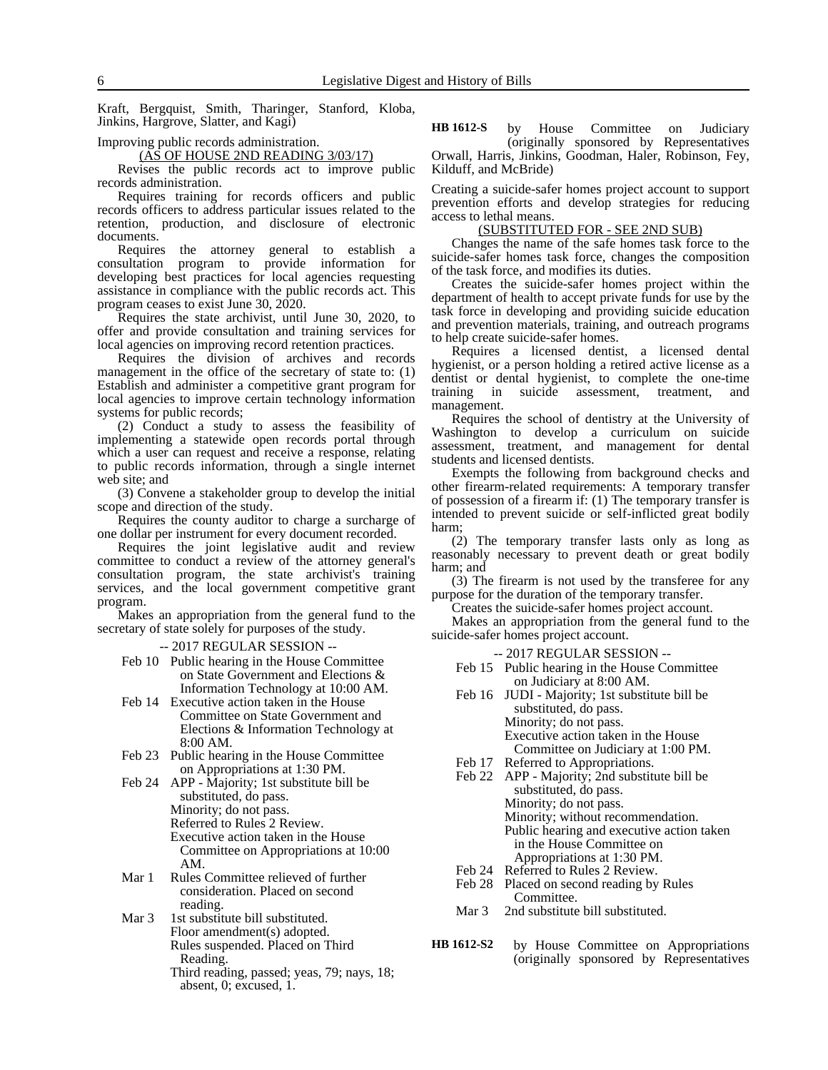Kraft, Bergquist, Smith, Tharinger, Stanford, Kloba, Jinkins, Hargrove, Slatter, and Kagi)

Improving public records administration.

(AS OF HOUSE 2ND READING 3/03/17)

Revises the public records act to improve public records administration.

Requires training for records officers and public records officers to address particular issues related to the retention, production, and disclosure of electronic documents.

Requires the attorney general to establish a consultation program to provide information for developing best practices for local agencies requesting assistance in compliance with the public records act. This program ceases to exist June 30, 2020.

Requires the state archivist, until June 30, 2020, to offer and provide consultation and training services for local agencies on improving record retention practices.

Requires the division of archives and records management in the office of the secretary of state to: (1) Establish and administer a competitive grant program for local agencies to improve certain technology information systems for public records;

(2) Conduct a study to assess the feasibility of implementing a statewide open records portal through which a user can request and receive a response, relating to public records information, through a single internet web site; and

(3) Convene a stakeholder group to develop the initial scope and direction of the study.

Requires the county auditor to charge a surcharge of one dollar per instrument for every document recorded.

Requires the joint legislative audit and review committee to conduct a review of the attorney general's consultation program, the state archivist's training services, and the local government competitive grant program.

Makes an appropriation from the general fund to the secretary of state solely for purposes of the study.

-- 2017 REGULAR SESSION --

- Feb 10 Public hearing in the House Committee on State Government and Elections & Information Technology at 10:00 AM.
- Feb 14 Executive action taken in the House Committee on State Government and Elections & Information Technology at 8:00 AM.
- Feb 23 Public hearing in the House Committee on Appropriations at 1:30 PM.
- Feb 24 APP Majority; 1st substitute bill be substituted, do pass. Minority; do not pass. Referred to Rules 2 Review. Executive action taken in the House Committee on Appropriations at 10:00 AM.
- Mar 1 Rules Committee relieved of further consideration. Placed on second reading.
- Mar 3 1st substitute bill substituted. Floor amendment(s) adopted. Rules suspended. Placed on Third Reading.
	- Third reading, passed; yeas, 79; nays, 18; absent, 0; excused, 1.

by House Committee on Judiciary (originally sponsored by Representatives Orwall, Harris, Jinkins, Goodman, Haler, Robinson, Fey, Kilduff, and McBride) **HB 1612-S**

Creating a suicide-safer homes project account to support prevention efforts and develop strategies for reducing access to lethal means.

## (SUBSTITUTED FOR - SEE 2ND SUB)

Changes the name of the safe homes task force to the suicide-safer homes task force, changes the composition of the task force, and modifies its duties.

Creates the suicide-safer homes project within the department of health to accept private funds for use by the task force in developing and providing suicide education and prevention materials, training, and outreach programs to help create suicide-safer homes.

Requires a licensed dentist, a licensed dental hygienist, or a person holding a retired active license as a dentist or dental hygienist, to complete the one-time training in suicide assessment, treatment, and management.

Requires the school of dentistry at the University of Washington to develop a curriculum on suicide assessment, treatment, and management for dental students and licensed dentists.

Exempts the following from background checks and other firearm-related requirements: A temporary transfer of possession of a firearm if: (1) The temporary transfer is intended to prevent suicide or self-inflicted great bodily harm;

(2) The temporary transfer lasts only as long as reasonably necessary to prevent death or great bodily harm; and

(3) The firearm is not used by the transferee for any purpose for the duration of the temporary transfer.

Creates the suicide-safer homes project account.

Makes an appropriation from the general fund to the suicide-safer homes project account.

-- 2017 REGULAR SESSION --

- Feb 15 Public hearing in the House Committee on Judiciary at 8:00 AM.
- Feb 16 JUDI Majority; 1st substitute bill be substituted, do pass. Minority; do not pass.
	- Executive action taken in the House Committee on Judiciary at 1:00 PM.
- Feb 17 Referred to Appropriations.
- Feb 22 APP Majority; 2nd substitute bill be substituted, do pass. Minority; do not pass.

Minority; without recommendation.

Public hearing and executive action taken in the House Committee on Appropriations at 1:30 PM.

- 
- Feb 24 Referred to Rules 2 Review.<br>Feb 28 Placed on second reading by Placed on second reading by Rules Committee.
- Mar 3 2nd substitute bill substituted.
- by House Committee on Appropriations (originally sponsored by Representatives **HB 1612-S2**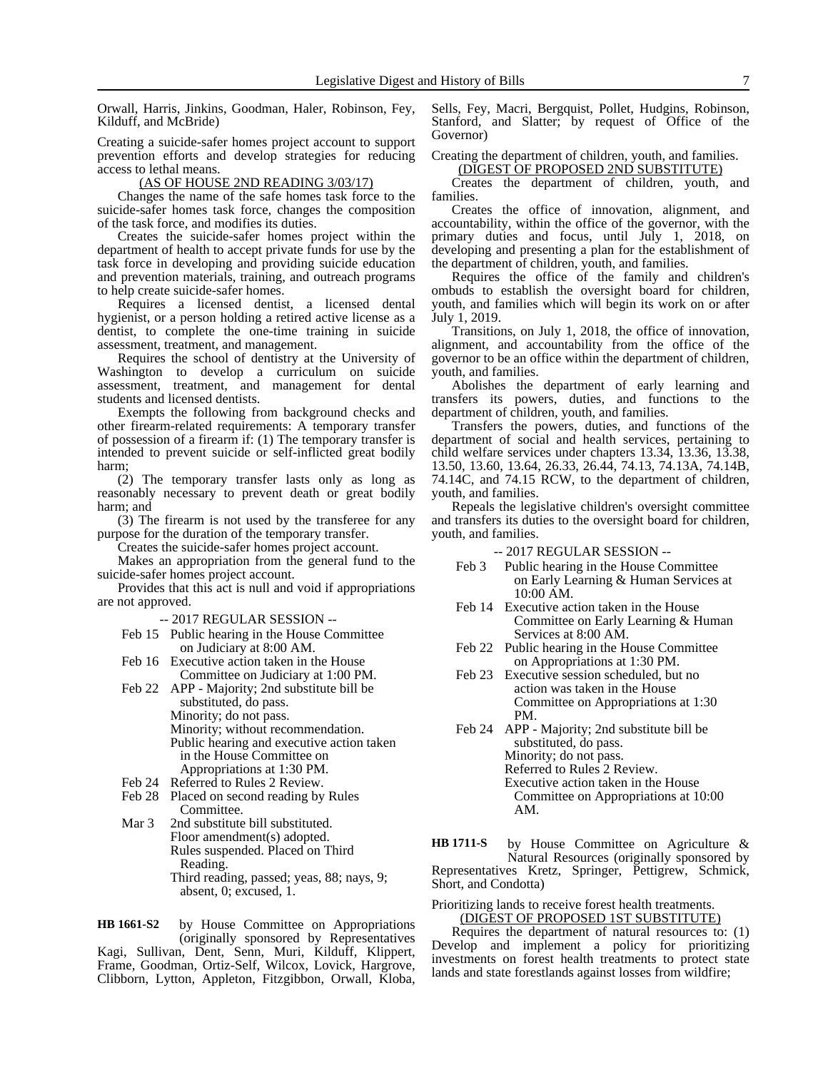Orwall, Harris, Jinkins, Goodman, Haler, Robinson, Fey, Kilduff, and McBride)

Creating a suicide-safer homes project account to support prevention efforts and develop strategies for reducing access to lethal means.

### (AS OF HOUSE 2ND READING 3/03/17)

Changes the name of the safe homes task force to the suicide-safer homes task force, changes the composition of the task force, and modifies its duties.

Creates the suicide-safer homes project within the department of health to accept private funds for use by the task force in developing and providing suicide education and prevention materials, training, and outreach programs to help create suicide-safer homes.

Requires a licensed dentist, a licensed dental hygienist, or a person holding a retired active license as a dentist, to complete the one-time training in suicide assessment, treatment, and management.

Requires the school of dentistry at the University of Washington to develop a curriculum on suicide assessment, treatment, and management for dental students and licensed dentists.

Exempts the following from background checks and other firearm-related requirements: A temporary transfer of possession of a firearm if: (1) The temporary transfer is intended to prevent suicide or self-inflicted great bodily harm;

(2) The temporary transfer lasts only as long as reasonably necessary to prevent death or great bodily harm; and

(3) The firearm is not used by the transferee for any purpose for the duration of the temporary transfer.

Creates the suicide-safer homes project account.

Makes an appropriation from the general fund to the suicide-safer homes project account.

Provides that this act is null and void if appropriations are not approved.

-- 2017 REGULAR SESSION --

- Feb 15 Public hearing in the House Committee on Judiciary at 8:00 AM.
- Feb 16 Executive action taken in the House Committee on Judiciary at 1:00 PM.
- Feb 22 APP Majority; 2nd substitute bill be substituted, do pass. Minority; do not pass. Minority; without recommendation. Public hearing and executive action taken in the House Committee on Appropriations at 1:30 PM.
- Feb 24 Referred to Rules 2 Review.
- Feb 28 Placed on second reading by Rules Committee.
- Mar 3 2nd substitute bill substituted. Floor amendment(s) adopted. Rules suspended. Placed on Third Reading. Third reading, passed; yeas, 88; nays, 9; absent, 0; excused, 1.

by House Committee on Appropriations (originally sponsored by Representatives Kagi, Sullivan, Dent, Senn, Muri, Kilduff, Klippert, Frame, Goodman, Ortiz-Self, Wilcox, Lovick, Hargrove, Clibborn, Lytton, Appleton, Fitzgibbon, Orwall, Kloba, **HB 1661-S2**

Sells, Fey, Macri, Bergquist, Pollet, Hudgins, Robinson, Stanford, and Slatter; by request of Office of the Governor)

### Creating the department of children, youth, and families. (DIGEST OF PROPOSED 2ND SUBSTITUTE)

Creates the department of children, youth, and families.

Creates the office of innovation, alignment, and accountability, within the office of the governor, with the primary duties and focus, until July 1, 2018, on developing and presenting a plan for the establishment of the department of children, youth, and families.

Requires the office of the family and children's ombuds to establish the oversight board for children, youth, and families which will begin its work on or after July 1, 2019.

Transitions, on July 1, 2018, the office of innovation, alignment, and accountability from the office of the governor to be an office within the department of children, youth, and families.

Abolishes the department of early learning and transfers its powers, duties, and functions to the department of children, youth, and families.

Transfers the powers, duties, and functions of the department of social and health services, pertaining to child welfare services under chapters 13.34, 13.36, 13.38, 13.50, 13.60, 13.64, 26.33, 26.44, 74.13, 74.13A, 74.14B, 74.14C, and 74.15 RCW, to the department of children, youth, and families.

Repeals the legislative children's oversight committee and transfers its duties to the oversight board for children, youth, and families.

-- 2017 REGULAR SESSION --

- Feb 3 Public hearing in the House Committee on Early Learning & Human Services at 10:00 AM.
- Feb 14 Executive action taken in the House Committee on Early Learning & Human Services at 8:00 AM.
- Feb 22 Public hearing in the House Committee on Appropriations at 1:30 PM.
- Feb 23 Executive session scheduled, but no action was taken in the House Committee on Appropriations at 1:30 PM.
- Feb 24 APP Majority; 2nd substitute bill be substituted, do pass. Minority; do not pass. Referred to Rules 2 Review. Executive action taken in the House Committee on Appropriations at 10:00 AM.

by House Committee on Agriculture & Natural Resources (originally sponsored by Representatives Kretz, Springer, Pettigrew, Schmick, Short, and Condotta) **HB 1711-S**

#### Prioritizing lands to receive forest health treatments. (DIGEST OF PROPOSED 1ST SUBSTITUTE)

Requires the department of natural resources to: (1) Develop and implement a policy for prioritizing investments on forest health treatments to protect state lands and state forestlands against losses from wildfire;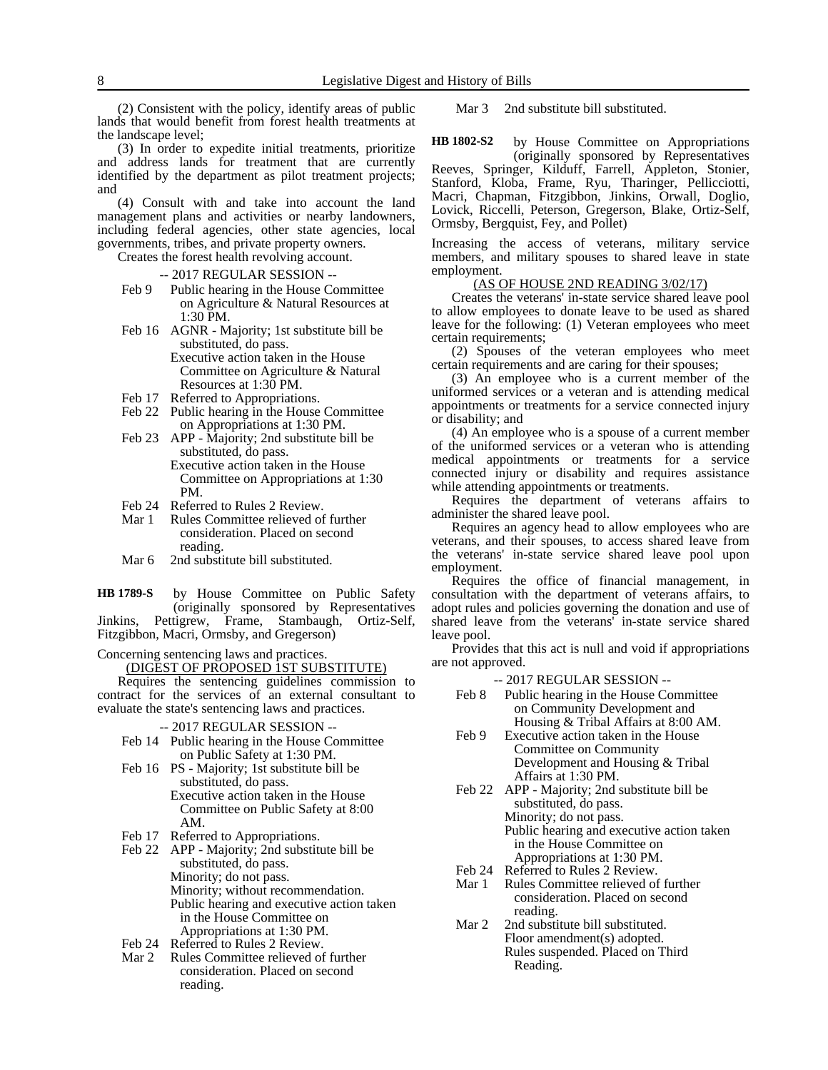(2) Consistent with the policy, identify areas of public lands that would benefit from forest health treatments at the landscape level;

(3) In order to expedite initial treatments, prioritize and address lands for treatment that are currently identified by the department as pilot treatment projects; and

(4) Consult with and take into account the land management plans and activities or nearby landowners, including federal agencies, other state agencies, local governments, tribes, and private property owners.

Creates the forest health revolving account.

#### -- 2017 REGULAR SESSION --

- Feb 9 Public hearing in the House Committee on Agriculture & Natural Resources at 1:30 PM.
- Feb 16 AGNR Majority; 1st substitute bill be substituted, do pass. Executive action taken in the House Committee on Agriculture & Natural Resources at 1:30 PM.
- Feb 17 Referred to Appropriations.
- Feb 22 Public hearing in the House Committee on Appropriations at 1:30 PM.
- Feb 23 APP Majority; 2nd substitute bill be substituted, do pass. Executive action taken in the House Committee on Appropriations at 1:30 PM.
- Feb 24 Referred to Rules 2 Review.
- Mar 1 Rules Committee relieved of further consideration. Placed on second reading.
- Mar 6 2nd substitute bill substituted.

by House Committee on Public Safety (originally sponsored by Representatives **HB 1789-S**

Jinkins, Pettigrew, Frame, Stambaugh, Ortiz-Self, Fitzgibbon, Macri, Ormsby, and Gregerson)

Concerning sentencing laws and practices.

(DIGEST OF PROPOSED 1ST SUBSTITUTE)

Requires the sentencing guidelines commission to contract for the services of an external consultant to evaluate the state's sentencing laws and practices.

- -- 2017 REGULAR SESSION --
- Feb 14 Public hearing in the House Committee on Public Safety at 1:30 PM.
- Feb 16 PS Majority; 1st substitute bill be substituted, do pass. Executive action taken in the House Committee on Public Safety at 8:00 AM.
- Feb 17 Referred to Appropriations.
- Feb 22 APP Majority; 2nd substitute bill be substituted, do pass. Minority; do not pass. Minority; without recommendation. Public hearing and executive action taken in the House Committee on Appropriations at 1:30 PM.
- Feb 24 Referred to Rules 2 Review.
- Mar 2 Rules Committee relieved of further consideration. Placed on second reading.

Mar 3 2nd substitute bill substituted.

by House Committee on Appropriations (originally sponsored by Representatives Reeves, Springer, Kilduff, Farrell, Appleton, Stonier, Stanford, Kloba, Frame, Ryu, Tharinger, Pellicciotti, Macri, Chapman, Fitzgibbon, Jinkins, Orwall, Doglio, Lovick, Riccelli, Peterson, Gregerson, Blake, Ortiz-Self, Ormsby, Bergquist, Fey, and Pollet) **HB 1802-S2**

Increasing the access of veterans, military service members, and military spouses to shared leave in state employment.

### (AS OF HOUSE 2ND READING 3/02/17)

Creates the veterans' in-state service shared leave pool to allow employees to donate leave to be used as shared leave for the following: (1) Veteran employees who meet certain requirements;

(2) Spouses of the veteran employees who meet certain requirements and are caring for their spouses;

(3) An employee who is a current member of the uniformed services or a veteran and is attending medical appointments or treatments for a service connected injury or disability; and

(4) An employee who is a spouse of a current member of the uniformed services or a veteran who is attending medical appointments or treatments for a service connected injury or disability and requires assistance while attending appointments or treatments.

Requires the department of veterans affairs to administer the shared leave pool.

Requires an agency head to allow employees who are veterans, and their spouses, to access shared leave from the veterans' in-state service shared leave pool upon employment.

Requires the office of financial management, in consultation with the department of veterans affairs, to adopt rules and policies governing the donation and use of shared leave from the veterans' in-state service shared leave pool.

Provides that this act is null and void if appropriations are not approved.

#### -- 2017 REGULAR SESSION --

Feb 8 Public hearing in the House Committee on Community Development and Housing & Tribal Affairs at 8:00 AM.

Feb 9 Executive action taken in the House Committee on Community Development and Housing & Tribal Affairs at 1:30 PM.

Feb 22 APP - Majority; 2nd substitute bill be substituted, do pass. Minority; do not pass. Public hearing and executive action taken in the House Committee on

Appropriations at 1:30 PM.

- Feb 24 Referred to Rules 2 Review.<br>Mar 1 Rules Committee relieved of
- Rules Committee relieved of further consideration. Placed on second reading.
- Mar 2 2nd substitute bill substituted. Floor amendment(s) adopted. Rules suspended. Placed on Third Reading.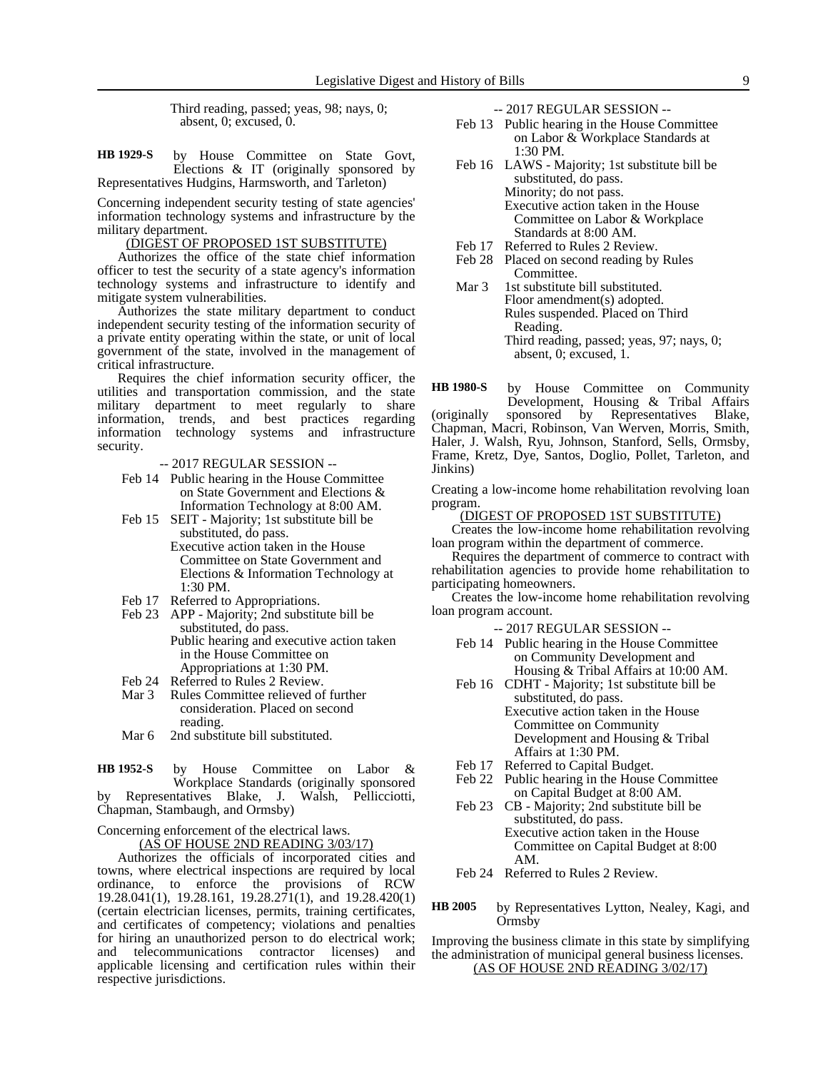Third reading, passed; yeas, 98; nays, 0; absent, 0; excused, 0.

by House Committee on State Govt, Elections & IT (originally sponsored by Representatives Hudgins, Harmsworth, and Tarleton) **HB 1929-S**

Concerning independent security testing of state agencies' information technology systems and infrastructure by the military department.

# (DIGEST OF PROPOSED 1ST SUBSTITUTE)

Authorizes the office of the state chief information officer to test the security of a state agency's information technology systems and infrastructure to identify and mitigate system vulnerabilities.

Authorizes the state military department to conduct independent security testing of the information security of a private entity operating within the state, or unit of local government of the state, involved in the management of critical infrastructure.

Requires the chief information security officer, the utilities and transportation commission, and the state military department to meet regularly to share information, trends, and best practices regarding information technology systems and infrastructure security.

-- 2017 REGULAR SESSION --

- Feb 14 Public hearing in the House Committee on State Government and Elections & Information Technology at 8:00 AM.
- Feb 15 SEIT Majority; 1st substitute bill be substituted, do pass. Executive action taken in the House

Committee on State Government and Elections & Information Technology at 1:30 PM.

- Feb 17 Referred to Appropriations.
- Feb 23 APP Majority; 2nd substitute bill be substituted, do pass. Public hearing and executive action taken in the House Committee on Appropriations at 1:30 PM.
- Feb 24 Referred to Rules 2 Review.
- Mar 3 Rules Committee relieved of further consideration. Placed on second reading.
- Mar 6 2nd substitute bill substituted.

by House Committee on Labor & Workplace Standards (originally sponsored by Representatives Blake, J. Walsh, Pellicciotti, Chapman, Stambaugh, and Ormsby) **HB 1952-S**

Concerning enforcement of the electrical laws. (AS OF HOUSE 2ND READING 3/03/17)

Authorizes the officials of incorporated cities and towns, where electrical inspections are required by local ordinance, to enforce the provisions of RCW 19.28.041(1), 19.28.161, 19.28.271(1), and 19.28.420(1) (certain electrician licenses, permits, training certificates, and certificates of competency; violations and penalties for hiring an unauthorized person to do electrical work; and telecommunications contractor licenses) and applicable licensing and certification rules within their respective jurisdictions.

-- 2017 REGULAR SESSION --

- Feb 13 Public hearing in the House Committee on Labor & Workplace Standards at 1:30 PM.
- Feb 16 LAWS Majority; 1st substitute bill be substituted, do pass. Minority; do not pass. Executive action taken in the House Committee on Labor & Workplace Standards at 8:00 AM.
- Feb 17 Referred to Rules 2 Review.
- Feb 28 Placed on second reading by Rules Committee.
- Mar 3 1st substitute bill substituted. Floor amendment(s) adopted. Rules suspended. Placed on Third Reading. Third reading, passed; yeas, 97; nays, 0; absent, 0; excused, 1.

by House Committee on Community Development, Housing & Tribal Affairs (originally sponsored by Representatives Blake, Chapman, Macri, Robinson, Van Werven, Morris, Smith, Haler, J. Walsh, Ryu, Johnson, Stanford, Sells, Ormsby, Frame, Kretz, Dye, Santos, Doglio, Pollet, Tarleton, and Jinkins) **HB 1980-S**

Creating a low-income home rehabilitation revolving loan program.

(DIGEST OF PROPOSED 1ST SUBSTITUTE)

Creates the low-income home rehabilitation revolving loan program within the department of commerce.

Requires the department of commerce to contract with rehabilitation agencies to provide home rehabilitation to participating homeowners.

Creates the low-income home rehabilitation revolving loan program account.

-- 2017 REGULAR SESSION --

- Feb 14 Public hearing in the House Committee on Community Development and Housing & Tribal Affairs at 10:00 AM.
- Feb 16 CDHT Majority; 1st substitute bill be substituted, do pass.
	- Executive action taken in the House Committee on Community Development and Housing & Tribal Affairs at 1:30 PM.
- Feb 17 Referred to Capital Budget.
- Feb 22 Public hearing in the House Committee on Capital Budget at 8:00 AM.
- Feb 23 CB Majority; 2nd substitute bill be substituted, do pass. Executive action taken in the House Committee on Capital Budget at 8:00 AM.
- Feb 24 Referred to Rules 2 Review.
- by Representatives Lytton, Nealey, Kagi, and Ormsby **HB 2005**

Improving the business climate in this state by simplifying the administration of municipal general business licenses. (AS OF HOUSE 2ND READING 3/02/17)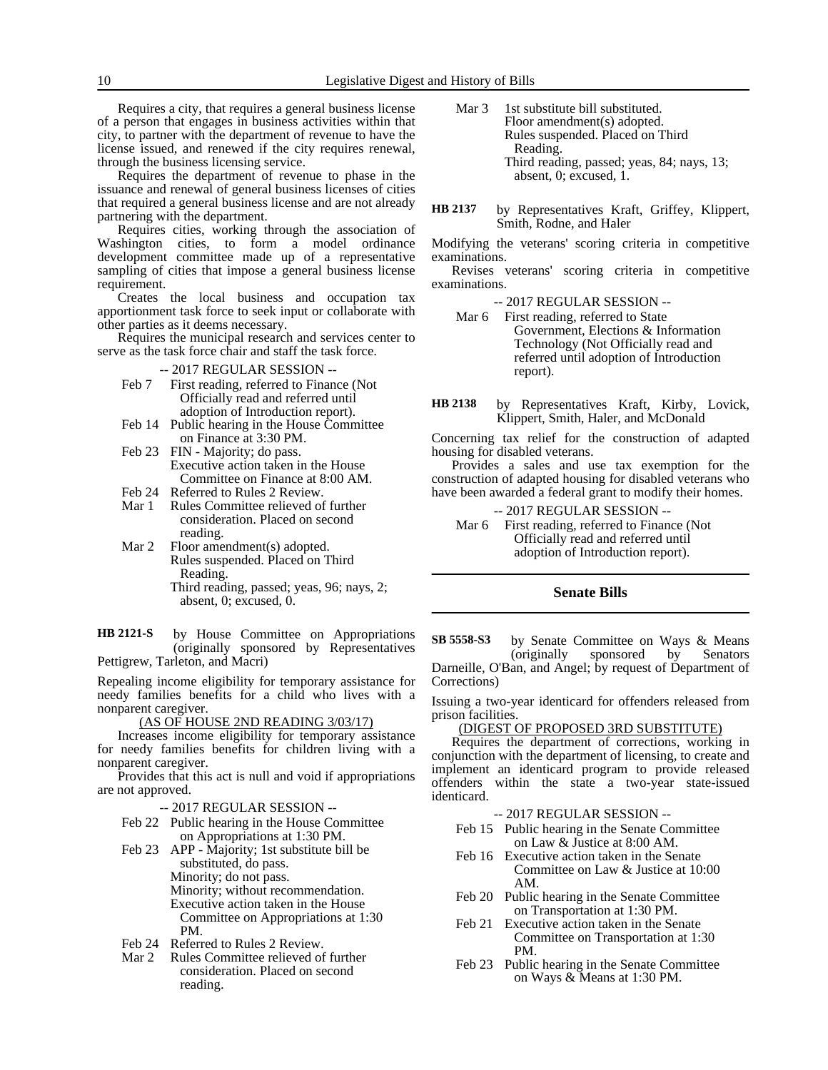Requires a city, that requires a general business license of a person that engages in business activities within that city, to partner with the department of revenue to have the license issued, and renewed if the city requires renewal, through the business licensing service.

Requires the department of revenue to phase in the issuance and renewal of general business licenses of cities that required a general business license and are not already partnering with the department.

Requires cities, working through the association of Washington cities, to form a model ordinance development committee made up of a representative sampling of cities that impose a general business license requirement.

Creates the local business and occupation tax apportionment task force to seek input or collaborate with other parties as it deems necessary.

Requires the municipal research and services center to serve as the task force chair and staff the task force.

-- 2017 REGULAR SESSION --

- Feb 7 First reading, referred to Finance (Not Officially read and referred until adoption of Introduction report).
- Feb 14 Public hearing in the House Committee on Finance at 3:30 PM.
- Feb 23 FIN Majority; do pass. Executive action taken in the House Committee on Finance at 8:00 AM.
- 
- Feb 24 Referred to Rules 2 Review.<br>Mar 1 Rules Committee relieved of Rules Committee relieved of further consideration. Placed on second reading.
- Mar 2 Floor amendment(s) adopted. Rules suspended. Placed on Third Reading.
	- Third reading, passed; yeas, 96; nays, 2; absent, 0; excused, 0.

by House Committee on Appropriations (originally sponsored by Representatives Pettigrew, Tarleton, and Macri) **HB 2121-S**

Repealing income eligibility for temporary assistance for needy families benefits for a child who lives with a nonparent caregiver.

(AS OF HOUSE 2ND READING 3/03/17)

Increases income eligibility for temporary assistance for needy families benefits for children living with a nonparent caregiver.

Provides that this act is null and void if appropriations are not approved.

-- 2017 REGULAR SESSION --

- Feb 22 Public hearing in the House Committee on Appropriations at 1:30 PM.
- Feb 23 APP Majority; 1st substitute bill be substituted, do pass. Minority; do not pass. Minority; without recommendation. Executive action taken in the House Committee on Appropriations at 1:30 PM.
- Feb 24 Referred to Rules 2 Review.
- Mar 2 Rules Committee relieved of further consideration. Placed on second reading.

Mar 3 1st substitute bill substituted. Floor amendment(s) adopted. Rules suspended. Placed on Third Reading. Third reading, passed; yeas, 84; nays, 13; absent, 0; excused, 1.

by Representatives Kraft, Griffey, Klippert, Smith, Rodne, and Haler **HB 2137**

Modifying the veterans' scoring criteria in competitive examinations.

Revises veterans' scoring criteria in competitive examinations.

-- 2017 REGULAR SESSION --

Mar 6 First reading, referred to State Government, Elections & Information Technology (Not Officially read and referred until adoption of Introduction report).

by Representatives Kraft, Kirby, Lovick, Klippert, Smith, Haler, and McDonald **HB 2138**

Concerning tax relief for the construction of adapted housing for disabled veterans.

Provides a sales and use tax exemption for the construction of adapted housing for disabled veterans who have been awarded a federal grant to modify their homes.

-- 2017 REGULAR SESSION -- Mar 6 First reading, referred to Finance (Not Officially read and referred until adoption of Introduction report).

# **Senate Bills**

by Senate Committee on Ways & Means (originally sponsored by Senators Darneille, O'Ban, and Angel; by request of Department of Corrections) **SB 5558-S3**

Issuing a two-year identicard for offenders released from prison facilities.

# (DIGEST OF PROPOSED 3RD SUBSTITUTE)

Requires the department of corrections, working in conjunction with the department of licensing, to create and implement an identicard program to provide released offenders within the state a two-year state-issued identicard.

- -- 2017 REGULAR SESSION --
- Feb 15 Public hearing in the Senate Committee on Law & Justice at 8:00 AM.
- Feb 16 Executive action taken in the Senate Committee on Law & Justice at 10:00 AM.
- Feb 20 Public hearing in the Senate Committee on Transportation at 1:30 PM.
- Feb 21 Executive action taken in the Senate Committee on Transportation at 1:30 PM.
- Feb 23 Public hearing in the Senate Committee on Ways & Means at 1:30 PM.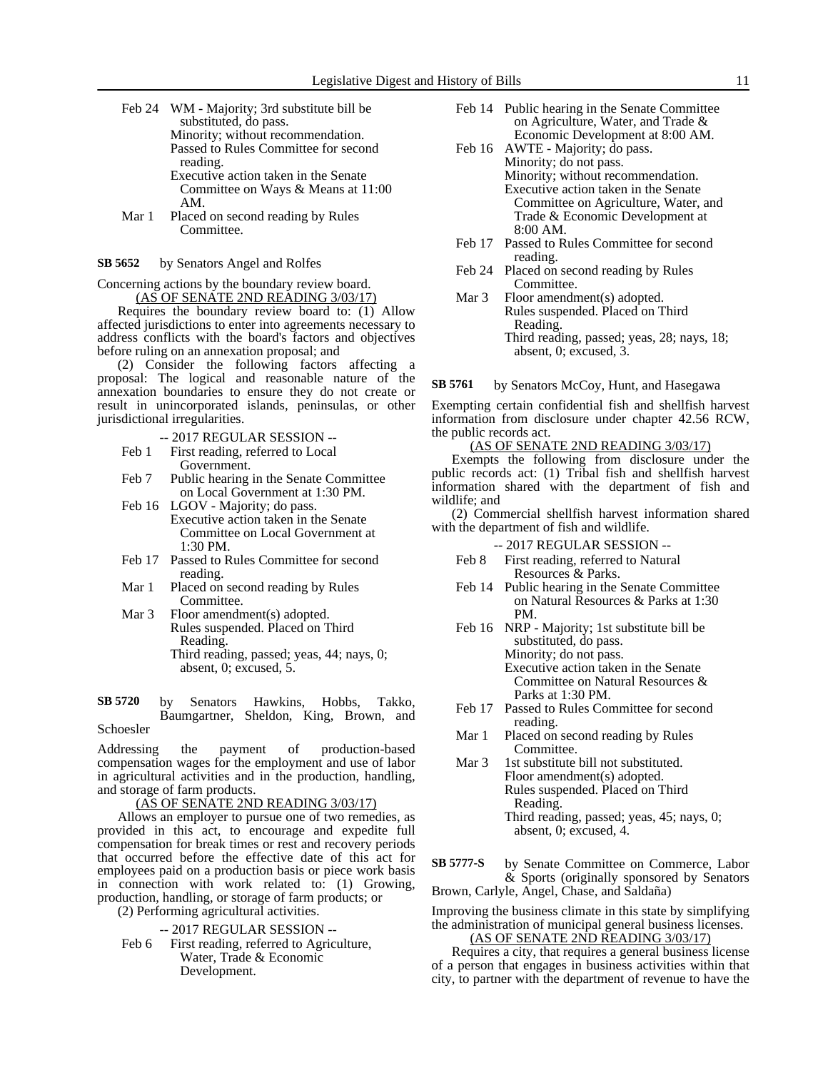- Feb 24 WM Majority; 3rd substitute bill be substituted, do pass. Minority; without recommendation. Passed to Rules Committee for second reading. Executive action taken in the Senate Committee on Ways & Means at 11:00 AM.
- Mar 1 Placed on second reading by Rules Committee.
- by Senators Angel and Rolfes **SB 5652**

Concerning actions by the boundary review board. (AS OF SENATE 2ND READING 3/03/17)

Requires the boundary review board to: (1) Allow affected jurisdictions to enter into agreements necessary to address conflicts with the board's factors and objectives before ruling on an annexation proposal; and

(2) Consider the following factors affecting a proposal: The logical and reasonable nature of the annexation boundaries to ensure they do not create or result in unincorporated islands, peninsulas, or other jurisdictional irregularities.

- -- 2017 REGULAR SESSION --
- Feb 1 First reading, referred to Local Government.
- Feb 7 Public hearing in the Senate Committee on Local Government at 1:30 PM.
- Feb 16 LGOV Majority; do pass. Executive action taken in the Senate Committee on Local Government at 1:30 PM.
- Feb 17 Passed to Rules Committee for second reading.
- Mar 1 Placed on second reading by Rules Committee.
- Mar 3 Floor amendment(s) adopted. Rules suspended. Placed on Third Reading. Third reading, passed; yeas, 44; nays, 0; absent, 0; excused, 5.

by Senators Hawkins, Hobbs, Takko, Baumgartner, Sheldon, King, Brown, and **SB 5720**

# Schoesler

Addressing the payment of production-based compensation wages for the employment and use of labor in agricultural activities and in the production, handling, and storage of farm products.

## (AS OF SENATE 2ND READING 3/03/17)

Allows an employer to pursue one of two remedies, as provided in this act, to encourage and expedite full compensation for break times or rest and recovery periods that occurred before the effective date of this act for employees paid on a production basis or piece work basis in connection with work related to: (1) Growing, production, handling, or storage of farm products; or (2) Performing agricultural activities.

-- 2017 REGULAR SESSION --

Feb 6 First reading, referred to Agriculture, Water, Trade & Economic Development.

- Feb 14 Public hearing in the Senate Committee on Agriculture, Water, and Trade & Economic Development at 8:00 AM.
- Feb 16 AWTE Majority; do pass. Minority; do not pass. Minority; without recommendation. Executive action taken in the Senate Committee on Agriculture, Water, and Trade & Economic Development at 8:00 AM.
- Feb 17 Passed to Rules Committee for second reading.
- Feb 24 Placed on second reading by Rules Committee.
- Mar 3 Floor amendment(s) adopted. Rules suspended. Placed on Third Reading. Third reading, passed; yeas, 28; nays, 18; absent, 0; excused, 3.

by Senators McCoy, Hunt, and Hasegawa **SB 5761**

Exempting certain confidential fish and shellfish harvest information from disclosure under chapter 42.56 RCW, the public records act.

# (AS OF SENATE 2ND READING 3/03/17)

Exempts the following from disclosure under the public records act: (1) Tribal fish and shellfish harvest information shared with the department of fish and wildlife; and

(2) Commercial shellfish harvest information shared with the department of fish and wildlife.

-- 2017 REGULAR SESSION --

- Feb 8 First reading, referred to Natural Resources & Parks.
- Feb 14 Public hearing in the Senate Committee on Natural Resources & Parks at 1:30 PM.
- Feb 16 NRP Majority; 1st substitute bill be substituted, do pass. Minority; do not pass. Executive action taken in the Senate Committee on Natural Resources & Parks at 1:30 PM.
- Feb 17 Passed to Rules Committee for second reading.
- Mar 1 Placed on second reading by Rules Committee.
- Mar 3 1st substitute bill not substituted. Floor amendment(s) adopted. Rules suspended. Placed on Third Reading. Third reading, passed; yeas, 45; nays, 0;

absent, 0; excused, 4.

by Senate Committee on Commerce, Labor & Sports (originally sponsored by Senators Brown, Carlyle, Angel, Chase, and Saldaña) **SB 5777-S**

Improving the business climate in this state by simplifying the administration of municipal general business licenses. (AS OF SENATE 2ND READING 3/03/17)

Requires a city, that requires a general business license of a person that engages in business activities within that city, to partner with the department of revenue to have the